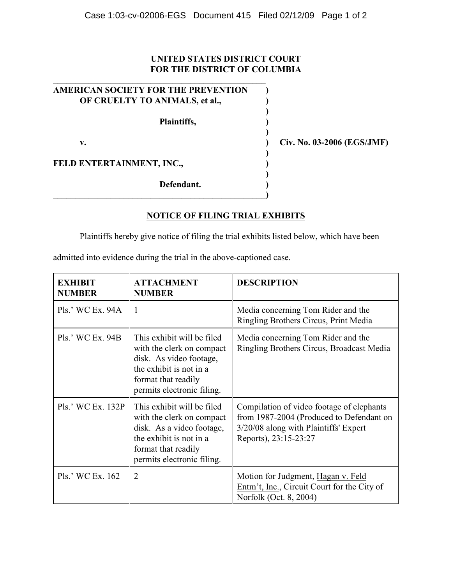## **UNITED STATES DISTRICT COURT FOR THE DISTRICT OF COLUMBIA**

| AMERICAN SOCIETY FOR THE PREVENTION |  |
|-------------------------------------|--|
| OF CRUELTY TO ANIMALS, et al.,      |  |
|                                     |  |
| Plaintiffs,                         |  |
|                                     |  |
| v.                                  |  |
|                                     |  |
| FELD ENTERTAINMENT, INC.,           |  |
|                                     |  |
| Defendant.                          |  |
|                                     |  |

**\_\_\_\_\_\_\_\_\_\_\_\_\_\_\_\_\_\_\_\_\_\_\_\_\_\_\_\_\_\_\_\_\_\_\_\_\_\_\_\_\_\_\_\_\_\_\_\_**

**v. ) Civ. No. 03-2006 (EGS/JMF)**

## **NOTICE OF FILING TRIAL EXHIBITS**

Plaintiffs hereby give notice of filing the trial exhibits listed below, which have been

admitted into evidence during the trial in the above-captioned case.

| <b>EXHIBIT</b><br><b>NUMBER</b> | <b>ATTACHMENT</b><br><b>NUMBER</b>                                                                                                                                   | <b>DESCRIPTION</b>                                                                                                                                      |
|---------------------------------|----------------------------------------------------------------------------------------------------------------------------------------------------------------------|---------------------------------------------------------------------------------------------------------------------------------------------------------|
| Pls.' WC Ex. 94A                | 1                                                                                                                                                                    | Media concerning Tom Rider and the<br>Ringling Brothers Circus, Print Media                                                                             |
| Pls.' WC Ex. 94B                | This exhibit will be filed<br>with the clerk on compact<br>disk. As video footage,<br>the exhibit is not in a<br>format that readily<br>permits electronic filing.   | Media concerning Tom Rider and the<br>Ringling Brothers Circus, Broadcast Media                                                                         |
| Pls.' WC Ex. 132P               | This exhibit will be filed<br>with the clerk on compact<br>disk. As a video footage,<br>the exhibit is not in a<br>format that readily<br>permits electronic filing. | Compilation of video footage of elephants<br>from 1987-2004 (Produced to Defendant on<br>3/20/08 along with Plaintiffs' Expert<br>Reports), 23:15-23:27 |
| Pls.' WC Ex. 162                | $\overline{2}$                                                                                                                                                       | Motion for Judgment, Hagan v. Feld<br>Entm't, Inc., Circuit Court for the City of<br>Norfolk (Oct. 8, 2004)                                             |